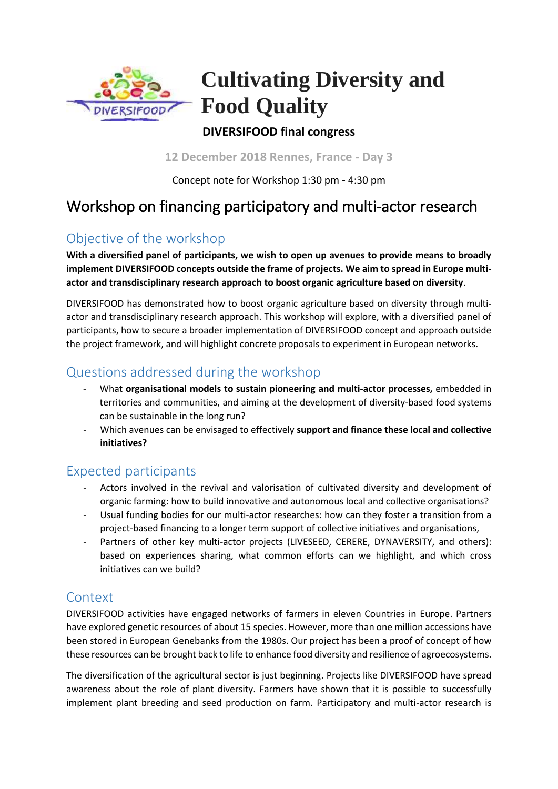

# **Cultivating Diversity and Food Quality**

#### **DIVERSIFOOD final congress**

**12 December 2018 Rennes, France - Day 3**

Concept note for Workshop 1:30 pm - 4:30 pm

## Workshop on financing participatory and multi-actor research

### Objective of the workshop

**With a diversified panel of participants, we wish to open up avenues to provide means to broadly implement DIVERSIFOOD concepts outside the frame of projects. We aim to spread in Europe multiactor and transdisciplinary research approach to boost organic agriculture based on diversity**.

DIVERSIFOOD has demonstrated how to boost organic agriculture based on diversity through multiactor and transdisciplinary research approach. This workshop will explore, with a diversified panel of participants, how to secure a broader implementation of DIVERSIFOOD concept and approach outside the project framework, and will highlight concrete proposals to experiment in European networks.

#### Questions addressed during the workshop

- What **organisational models to sustain pioneering and multi-actor processes,** embedded in territories and communities, and aiming at the development of diversity-based food systems can be sustainable in the long run?
- Which avenues can be envisaged to effectively **support and finance these local and collective initiatives?**

#### Expected participants

- Actors involved in the revival and valorisation of cultivated diversity and development of organic farming: how to build innovative and autonomous local and collective organisations?
- Usual funding bodies for our multi-actor researches: how can they foster a transition from a project-based financing to a longer term support of collective initiatives and organisations,
- Partners of other key multi-actor projects (LIVESEED, CERERE, DYNAVERSITY, and others): based on experiences sharing, what common efforts can we highlight, and which cross initiatives can we build?

#### **Context**

DIVERSIFOOD activities have engaged networks of farmers in eleven Countries in Europe. Partners have explored genetic resources of about 15 species. However, more than one million accessions have been stored in European Genebanks from the 1980s. Our project has been a proof of concept of how these resources can be brought back to life to enhance food diversity and resilience of agroecosystems.

The diversification of the agricultural sector is just beginning. Projects like DIVERSIFOOD have spread awareness about the role of plant diversity. Farmers have shown that it is possible to successfully implement plant breeding and seed production on farm. Participatory and multi-actor research is